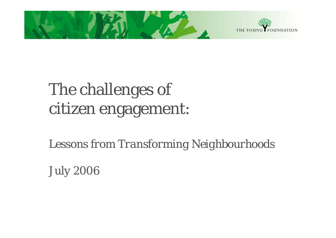

# The challenges of citizen engagement:

*Lessons from Transforming Neighbourhoods*

*July 2006*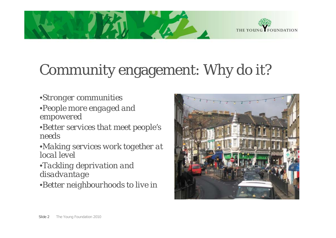



#### Community engagement: Why do it? o it

- •*Stronger communities*
- •*People more engaged and empowered*
- •*Better services that meet people's needs*
- •*Making services work together at local level*
- •*Tackling deprivation and di d t sa dvan tage*
- •*Better neighbourhoods to live in*

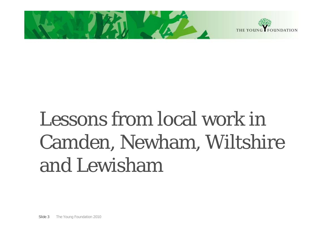

# Lessons from local work in Camden, Newham, Wiltshire and Lewisham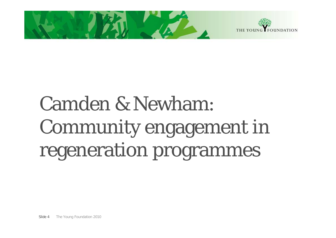

# Camden & Newham: Community engagement in regeneration programmes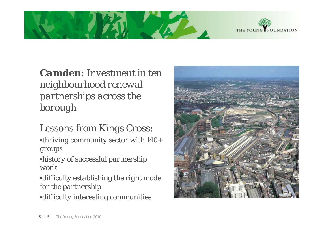



*Camden: Investment in ten neighbourhood renewal partnerships across the borough*

*Lessons from Kings Cross:*

•*thriving community sector with 140+ groups*

•*history of successful partnership work*

•*difficulty establishing the right model for the partnership*

•*difficulty interesting communities ff y g*

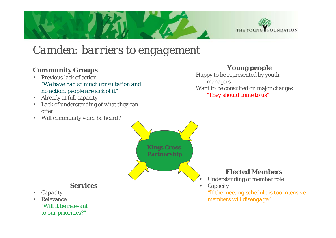

#### *Camden: barriers to engagement*

#### **Community Groups**

- • Previous lack of action*"We have had so much consultation and no action, people are sick of it" want to be consulted on major*<br>*\* Already at full canacity action action action action action action action action action action action action action actio*
- Already at full capacity

 $\bullet$ 

•

Capacity

Relevance

*to our priorities?"*

- Lack of understanding of what they can offer
- •Will community voice be heard?

#### **Young people**

Happy to be represented by youth managers Want to be consulted on major changes

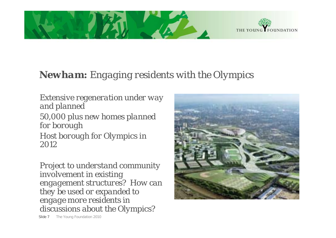



#### *Newham: Engaging residents with the Olympics*

*Extensive regeneration under way and planned 50,000 plus new homes planned for borough Host borough for Olympics in 2012*

*Project to understand community i l t i i ti involvement in existing engagement structures? How can they be used or expanded to engage more residents in discussions about the Olympics?*



Slide 7The Young Foundation 2010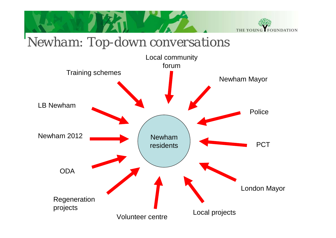

### $Newham: Top-down\ conversion$

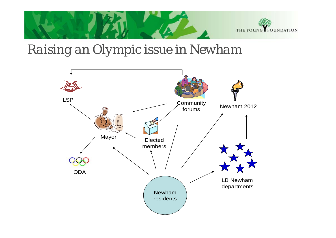

## *Raising an Olympic issue in Newham*

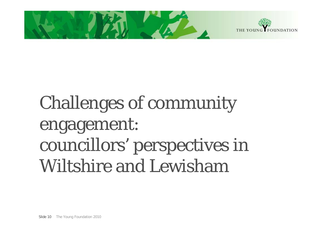



# Challenges of community engagement: councillors' perspectives in Wiltshire and Lewisham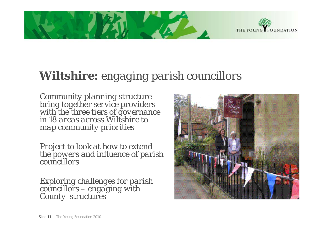



### *Wiltshire: engaging parish councillors*

*Community planning structure bring together service providers with the three tiers of governance in 18 areas across Wiltshire to map community priorities*

*Project to look at how to extend the powers and influence of parish councillors*

*Exploring challenges for parish councillors – engaging with County structures*

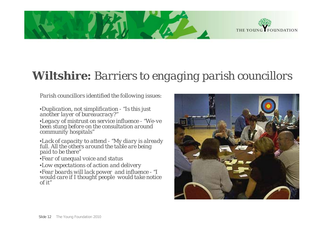



### *Wiltshire: Barriers to engaging parish councillors*

*Parish councillors identified the following issues:*

•*Duplication, not simplification - "Is this just another layer of bureaucracy?"* •*Legacy of mistrust on service influence - "We-ve been stung before on the consultation around community hospitals"*

•*Lack of capacity to attend - "My diary is already full All the others aroufull. All the others around the table are being<br>paid to be there"* 

•*Fear of unequal voice and status*

•*Low expectations of action and delivery*

•*Fear boards will lack power and influence - "I would care if I thought people would take notice of it"*

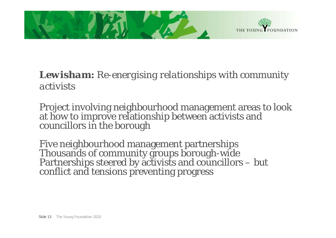

#### *Lewisham: Re-energising relationships with community activists*

Project involving neighbourhood management areas to look at how to improve relationship between activists and councillors in the borough

Five neighbourhood management partnerships Thousands of community groups borough-wide Partnerships steered by activists and councillors – but conflict and tensions preventing progress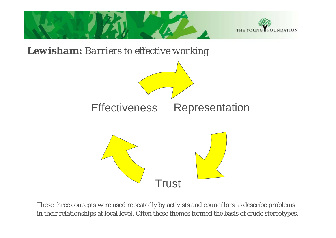

These three concepts were used repeatedly by activists and councillors to describe problems in their relationships at local level. Often these themes formed the basis of crude stereotypes.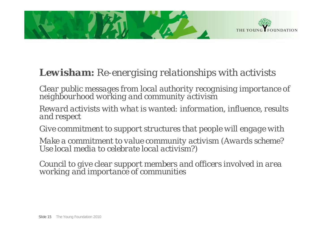

#### *Lewisham: Re-energising relationships with activists*

Clear public messages from local authority recognising importance of<br>neighbourhood working and community activism

*Reward activists with what is wanted: information, influence, results and respect*

*Give commitment to support structures that people will engage with*

Make a commitment to value community activism (Awards scheme?<br>Use local media to celebrate local activism?)

*Council to give clear support members and officers involved in area working and importance of communities*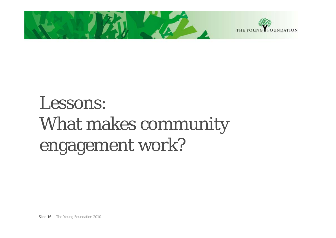

# Lessons: What makes community engagement work?

Slide 16 The Young Foundation 2010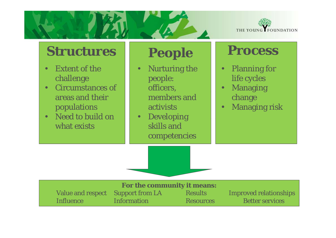

### **Structures**

- • Extent of the challenge
- • Circumstances of areas and their populations
- • Need to build on what exists

- • Nurturing the people: officers, members and activists
- Developing skills and competencies

### **People Process**

- • Planning for life cycles
- • Managing change
- •Managing risk

| <b>For the community it means:</b> |                    |                  |                               |
|------------------------------------|--------------------|------------------|-------------------------------|
| Value and respect Support from LA  |                    | <b>Results</b>   | <b>Improved relationships</b> |
| Influence                          | <b>Information</b> | <b>Resources</b> | <b>Better services</b>        |